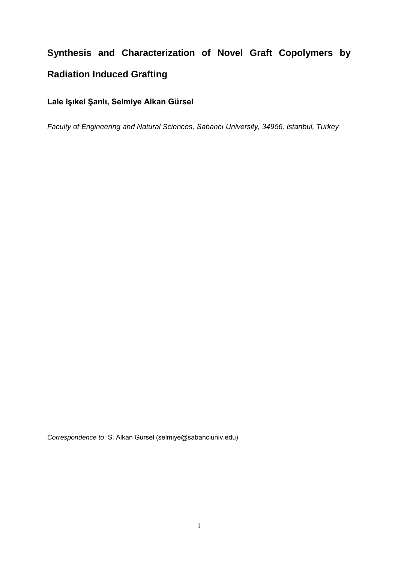# **Synthesis and Characterization of Novel Graft Copolymers by Radiation Induced Grafting**

**Lale Işıkel Şanlı, Selmiye Alkan Gürsel**

*Faculty of Engineering and Natural Sciences, Sabancı University, 34956, Istanbul, Turkey*

*Correspondence to*: S. Alkan Gürsel (selmiye@sabanciuniv.edu)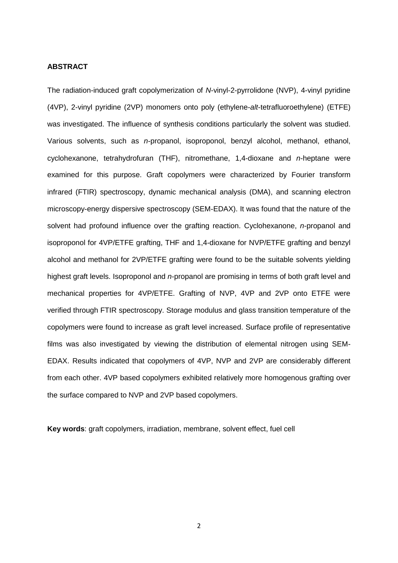#### **ABSTRACT**

The radiation-induced graft copolymerization of *N*-vinyl-2-pyrrolidone (NVP), 4-vinyl pyridine (4VP), 2-vinyl pyridine (2VP) monomers onto poly (ethylene-*alt*-tetrafluoroethylene) (ETFE) was investigated. The influence of synthesis conditions particularly the solvent was studied. Various solvents, such as *n*-propanol, isoproponol, benzyl alcohol, methanol, ethanol, cyclohexanone, tetrahydrofuran (THF), nitromethane, 1,4-dioxane and *n*-heptane were examined for this purpose. Graft copolymers were characterized by Fourier transform infrared (FTIR) spectroscopy, dynamic mechanical analysis (DMA), and scanning electron microscopy-energy dispersive spectroscopy (SEM-EDAX). It was found that the nature of the solvent had profound influence over the grafting reaction. Cyclohexanone, *n*-propanol and isoproponol for 4VP/ETFE grafting, THF and 1,4-dioxane for NVP/ETFE grafting and benzyl alcohol and methanol for 2VP/ETFE grafting were found to be the suitable solvents yielding highest graft levels. Isoproponol and *n*-propanol are promising in terms of both graft level and mechanical properties for 4VP/ETFE. Grafting of NVP, 4VP and 2VP onto ETFE were verified through FTIR spectroscopy. Storage modulus and glass transition temperature of the copolymers were found to increase as graft level increased. Surface profile of representative films was also investigated by viewing the distribution of elemental nitrogen using SEM-EDAX. Results indicated that copolymers of 4VP, NVP and 2VP are considerably different from each other. 4VP based copolymers exhibited relatively more homogenous grafting over the surface compared to NVP and 2VP based copolymers.

**Key words**: graft copolymers, irradiation, membrane, solvent effect, fuel cell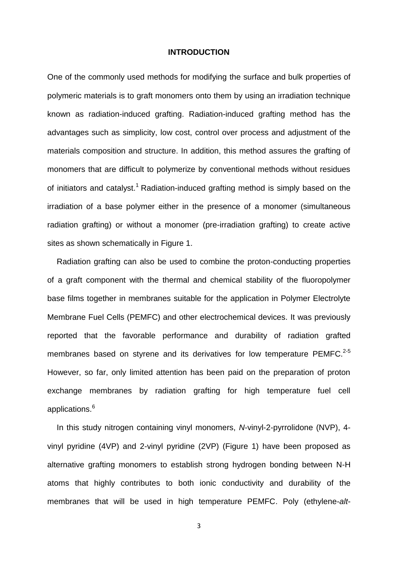#### **INTRODUCTION**

One of the commonly used methods for modifying the surface and bulk properties of polymeric materials is to graft monomers onto them by using an irradiation technique known as radiation-induced grafting. Radiation-induced grafting method has the advantages such as simplicity, low cost, control over process and adjustment of the materials composition and structure. In addition, this method assures the grafting of monomers that are difficult to polymerize by conventional methods without residues of initiators and catalyst.<sup>1</sup> Radiation-induced grafting method is simply based on the irradiation of a base polymer either in the presence of a monomer (simultaneous radiation grafting) or without a monomer (pre-irradiation grafting) to create active sites as shown schematically in Figure 1.

Radiation grafting can also be used to combine the proton-conducting properties of a graft component with the thermal and chemical stability of the fluoropolymer base films together in membranes suitable for the application in Polymer Electrolyte Membrane Fuel Cells (PEMFC) and other electrochemical devices. It was previously reported that the favorable performance and durability of radiation grafted membranes based on styrene and its derivatives for low temperature PEMFC.<sup>2-5</sup> However, so far, only limited attention has been paid on the preparation of proton exchange membranes by radiation grafting for high temperature fuel cell applications.<sup>6</sup>

In this study nitrogen containing vinyl monomers, *N*-vinyl-2-pyrrolidone (NVP), 4 vinyl pyridine (4VP) and 2-vinyl pyridine (2VP) (Figure 1) have been proposed as alternative grafting monomers to establish strong hydrogen bonding between N-H atoms that highly contributes to both ionic conductivity and durability of the membranes that will be used in high temperature PEMFC. Poly (ethylene-*alt*-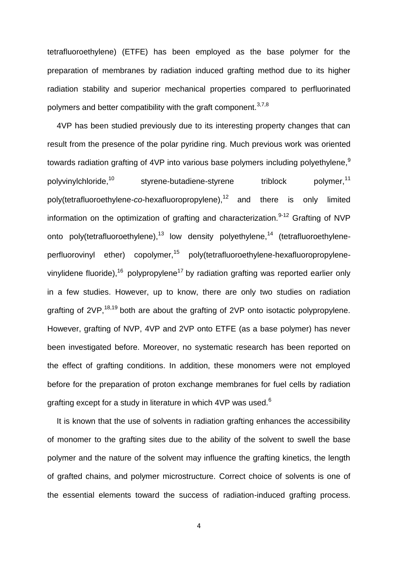tetrafluoroethylene) (ETFE) has been employed as the base polymer for the preparation of membranes by radiation induced grafting method due to its higher radiation stability and superior mechanical properties compared to perfluorinated polymers and better compatibility with the graft component.  $37,8$ 

4VP has been studied previously due to its interesting property changes that can result from the presence of the polar pyridine ring. Much previous work was oriented towards radiation grafting of 4VP into various base polymers including polyethylene.<sup>9</sup> polyvinylchloride,<sup>10</sup> styrene-butadiene-styrene triblock polymer,<sup>11</sup> poly(tetrafluoroethylene-*co*-hexafluoropropylene),<sup>12</sup> and there is only limited information on the optimization of grafting and characterization. $9-12$  Grafting of NVP onto poly(tetrafluoroethylene),<sup>13</sup> low density polyethylene,<sup>14</sup> (tetrafluoroethyleneperfluorovinyl ether) copolymer,<sup>15</sup> poly(tetrafluoroethylene-hexafluoropropylenevinylidene fluoride),<sup>16</sup> polypropylene<sup>17</sup> by radiation grafting was reported earlier only in a few studies. However, up to know, there are only two studies on radiation grafting of  $2VP$ ,  $^{18,19}$  both are about the grafting of  $2VP$  onto isotactic polypropylene. However, grafting of NVP, 4VP and 2VP onto ETFE (as a base polymer) has never been investigated before. Moreover, no systematic research has been reported on the effect of grafting conditions. In addition, these monomers were not employed before for the preparation of proton exchange membranes for fuel cells by radiation grafting except for a study in literature in which 4VP was used.<sup>6</sup>

It is known that the use of solvents in radiation grafting enhances the accessibility of monomer to the grafting sites due to the ability of the solvent to swell the base polymer and the nature of the solvent may influence the grafting kinetics, the length of grafted chains, and polymer microstructure. Correct choice of solvents is one of the essential elements toward the success of radiation-induced grafting process.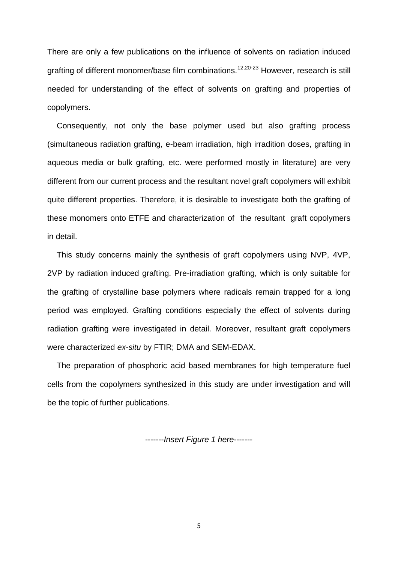There are only a few publications on the influence of solvents on radiation induced grafting of different monomer/base film combinations.<sup>12,20-23</sup> However, research is still needed for understanding of the effect of solvents on grafting and properties of copolymers.

Consequently, not only the base polymer used but also grafting process (simultaneous radiation grafting, e-beam irradiation, high irradition doses, grafting in aqueous media or bulk grafting, etc. were performed mostly in literature) are very different from our current process and the resultant novel graft copolymers will exhibit quite different properties. Therefore, it is desirable to investigate both the grafting of these monomers onto ETFE and characterization of the resultant graft copolymers in detail.

This study concerns mainly the synthesis of graft copolymers using NVP, 4VP, 2VP by radiation induced grafting. Pre-irradiation grafting, which is only suitable for the grafting of crystalline base polymers where radicals remain trapped for a long period was employed. Grafting conditions especially the effect of solvents during radiation grafting were investigated in detail. Moreover, resultant graft copolymers were characterized *ex-situ* by FTIR; DMA and SEM-EDAX.

The preparation of phosphoric acid based membranes for high temperature fuel cells from the copolymers synthesized in this study are under investigation and will be the topic of further publications.

-------*Insert Figure 1 here*-------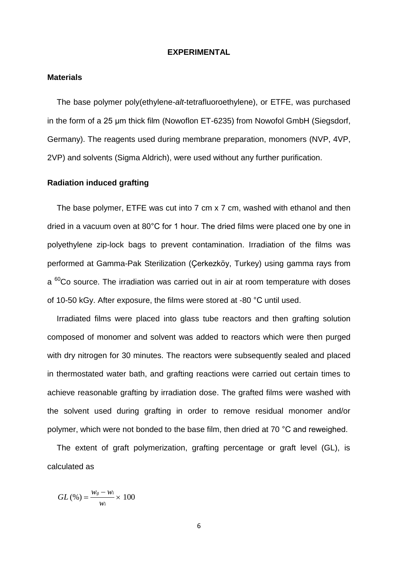## **EXPERIMENTAL**

#### **Materials**

The base polymer poly(ethylene-*alt*-tetrafluoroethylene), or ETFE, was purchased in the form of a 25 μm thick film (Nowoflon ET-6235) from Nowofol GmbH (Siegsdorf, Germany). The reagents used during membrane preparation, monomers (NVP, 4VP, 2VP) and solvents (Sigma Aldrich), were used without any further purification.

#### **Radiation induced grafting**

The base polymer, ETFE was cut into 7 cm x 7 cm, washed with ethanol and then dried in a vacuum oven at 80°C for 1 hour. The dried films were placed one by one in polyethylene zip-lock bags to prevent contamination. Irradiation of the films was performed at Gamma-Pak Sterilization (Çerkezköy, Turkey) using gamma rays from  $a^{60}$ Co source. The irradiation was carried out in air at room temperature with doses of 10-50 kGy. After exposure, the films were stored at -80 °C until used.

Irradiated films were placed into glass tube reactors and then grafting solution composed of monomer and solvent was added to reactors which were then purged with dry nitrogen for 30 minutes. The reactors were subsequently sealed and placed in thermostated water bath, and grafting reactions were carried out certain times to achieve reasonable grafting by irradiation dose. The grafted films were washed with the solvent used during grafting in order to remove residual monomer and/or polymer, which were not bonded to the base film, then dried at 70 °C and reweighed.

The extent of graft polymerization, grafting percentage or graft level (GL), is calculated as

$$
GL\left(\%\right) = \frac{w_s - w_i}{w_i} \times 100
$$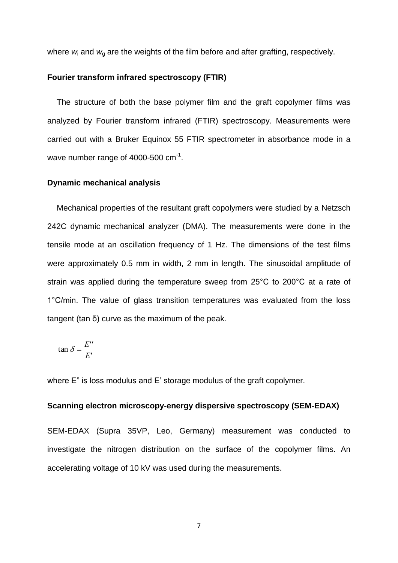where  $w_i$  and  $w_q$  are the weights of the film before and after grafting, respectively.

#### **Fourier transform infrared spectroscopy (FTIR)**

The structure of both the base polymer film and the graft copolymer films was analyzed by Fourier transform infrared (FTIR) spectroscopy. Measurements were carried out with a Bruker Equinox 55 FTIR spectrometer in absorbance mode in a wave number range of 4000-500  $cm^{-1}$ .

#### **Dynamic mechanical analysis**

Mechanical properties of the resultant graft copolymers were studied by a Netzsch 242C dynamic mechanical analyzer (DMA). The measurements were done in the tensile mode at an oscillation frequency of 1 Hz. The dimensions of the test films were approximately 0.5 mm in width, 2 mm in length. The sinusoidal amplitude of strain was applied during the temperature sweep from 25°C to 200°C at a rate of 1°C/min. The value of glass transition temperatures was evaluated from the loss tangent (tan δ) curve as the maximum of the peak.

$$
\tan \delta = \frac{E^{\prime\prime}}{E^{\prime}}
$$

where E" is loss modulus and E' storage modulus of the graft copolymer.

## **Scanning electron microscopy-energy dispersive spectroscopy (SEM-EDAX)**

SEM-EDAX (Supra 35VP, Leo, Germany) measurement was conducted to investigate the nitrogen distribution on the surface of the copolymer films. An accelerating voltage of 10 kV was used during the measurements.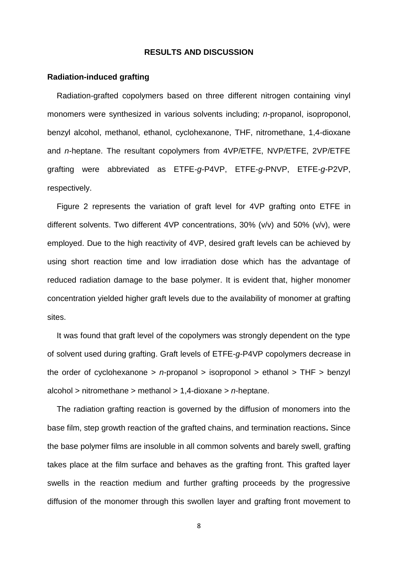#### **RESULTS AND DISCUSSION**

#### **Radiation-induced grafting**

Radiation-grafted copolymers based on three different nitrogen containing vinyl monomers were synthesized in various solvents including; *n*-propanol, isoproponol, benzyl alcohol, methanol, ethanol, cyclohexanone, THF, nitromethane, 1,4-dioxane and *n*-heptane. The resultant copolymers from 4VP/ETFE, NVP/ETFE, 2VP/ETFE grafting were abbreviated as ETFE-*g*-P4VP, ETFE-*g*-PNVP, ETFE-*g*-P2VP, respectively.

Figure 2 represents the variation of graft level for 4VP grafting onto ETFE in different solvents. Two different 4VP concentrations, 30% (v/v) and 50% (v/v), were employed. Due to the high reactivity of 4VP, desired graft levels can be achieved by using short reaction time and low irradiation dose which has the advantage of reduced radiation damage to the base polymer. It is evident that, higher monomer concentration yielded higher graft levels due to the availability of monomer at grafting sites.

It was found that graft level of the copolymers was strongly dependent on the type of solvent used during grafting. Graft levels of ETFE-*g*-P4VP copolymers decrease in the order of cyclohexanone > *n*-propanol > isoproponol > ethanol > THF > benzyl alcohol > nitromethane > methanol > 1,4-dioxane > *n*-heptane.

The radiation grafting reaction is governed by the diffusion of monomers into the base film, step growth reaction of the grafted chains, and termination reactions**.** Since the base polymer films are insoluble in all common solvents and barely swell, grafting takes place at the film surface and behaves as the grafting front. This grafted layer swells in the reaction medium and further grafting proceeds by the progressive diffusion of the monomer through this swollen layer and grafting front movement to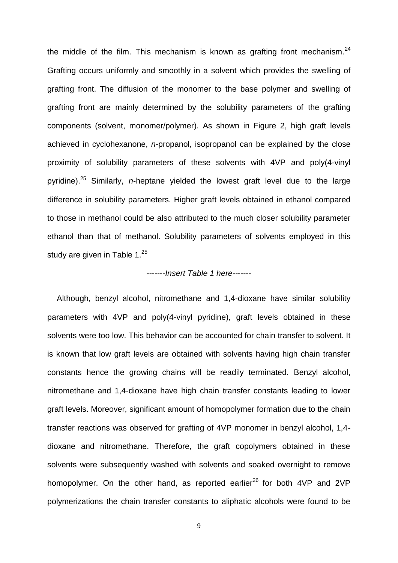the middle of the film. This mechanism is known as grafting front mechanism.<sup>24</sup> Grafting occurs uniformly and smoothly in a solvent which provides the swelling of grafting front. The diffusion of the monomer to the base polymer and swelling of grafting front are mainly determined by the solubility parameters of the grafting components (solvent, monomer/polymer). As shown in Figure 2, high graft levels achieved in cyclohexanone, *n*-propanol, isopropanol can be explained by the close proximity of solubility parameters of these solvents with 4VP and poly(4-vinyl pyridine). <sup>25</sup> Similarly, *n*-heptane yielded the lowest graft level due to the large difference in solubility parameters. Higher graft levels obtained in ethanol compared to those in methanol could be also attributed to the much closer solubility parameter ethanol than that of methanol. Solubility parameters of solvents employed in this study are given in Table  $1.^{25}$ 

## -------*Insert Table 1 here*-------

Although, benzyl alcohol, nitromethane and 1,4-dioxane have similar solubility parameters with 4VP and poly(4-vinyl pyridine), graft levels obtained in these solvents were too low. This behavior can be accounted for chain transfer to solvent. It is known that low graft levels are obtained with solvents having high chain transfer constants hence the growing chains will be readily terminated. Benzyl alcohol, nitromethane and 1,4-dioxane have high chain transfer constants leading to lower graft levels. Moreover, significant amount of homopolymer formation due to the chain transfer reactions was observed for grafting of 4VP monomer in benzyl alcohol, 1,4 dioxane and nitromethane. Therefore, the graft copolymers obtained in these solvents were subsequently washed with solvents and soaked overnight to remove homopolymer. On the other hand, as reported earlier<sup>26</sup> for both 4VP and 2VP polymerizations the chain transfer constants to aliphatic alcohols were found to be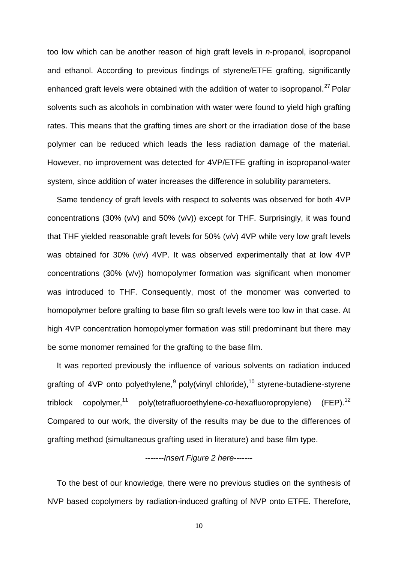too low which can be another reason of high graft levels in *n*-propanol, isopropanol and ethanol. According to previous findings of styrene/ETFE grafting, significantly enhanced graft levels were obtained with the addition of water to isopropanol.<sup>27</sup> Polar solvents such as alcohols in combination with water were found to yield high grafting rates. This means that the grafting times are short or the irradiation dose of the base polymer can be reduced which leads the less radiation damage of the material. However, no improvement was detected for 4VP/ETFE grafting in isopropanol-water system, since addition of water increases the difference in solubility parameters.

Same tendency of graft levels with respect to solvents was observed for both 4VP concentrations (30% (v/v) and 50% (v/v)) except for THF. Surprisingly, it was found that THF yielded reasonable graft levels for 50% (v/v) 4VP while very low graft levels was obtained for 30% (v/v) 4VP. It was observed experimentally that at low 4VP concentrations (30% (v/v)) homopolymer formation was significant when monomer was introduced to THF. Consequently, most of the monomer was converted to homopolymer before grafting to base film so graft levels were too low in that case. At high 4VP concentration homopolymer formation was still predominant but there may be some monomer remained for the grafting to the base film.

It was reported previously the influence of various solvents on radiation induced grafting of 4VP onto polyethylene, <sup>9</sup> poly(vinyl chloride), <sup>10</sup> styrene-butadiene-styrene triblock copolymer, 11 poly(tetrafluoroethylene-*co*-hexafluoropropylene) (FEP).  $(FEP).<sup>12</sup>$ Compared to our work, the diversity of the results may be due to the differences of grafting method (simultaneous grafting used in literature) and base film type.

## -------*Insert Figure 2 here*-------

To the best of our knowledge, there were no previous studies on the synthesis of NVP based copolymers by radiation-induced grafting of NVP onto ETFE. Therefore,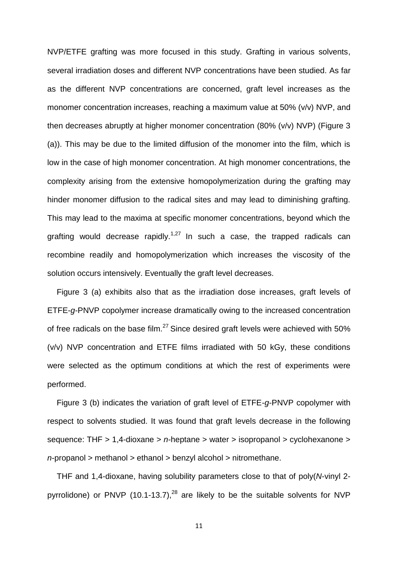NVP/ETFE grafting was more focused in this study. Grafting in various solvents, several irradiation doses and different NVP concentrations have been studied. As far as the different NVP concentrations are concerned, graft level increases as the monomer concentration increases, reaching a maximum value at 50% (v/v) NVP, and then decreases abruptly at higher monomer concentration (80% (v/v) NVP) (Figure 3 (a)). This may be due to the limited diffusion of the monomer into the film, which is low in the case of high monomer concentration. At high monomer concentrations, the complexity arising from the extensive homopolymerization during the grafting may hinder monomer diffusion to the radical sites and may lead to diminishing grafting. This may lead to the maxima at specific monomer concentrations, beyond which the grafting would decrease rapidly.<sup>1,27</sup> In such a case, the trapped radicals can recombine readily and homopolymerization which increases the viscosity of the solution occurs intensively. Eventually the graft level decreases.

Figure 3 (a) exhibits also that as the irradiation dose increases, graft levels of ETFE-*g*-PNVP copolymer increase dramatically owing to the increased concentration of free radicals on the base film.<sup>27</sup> Since desired graft levels were achieved with 50% (v/v) NVP concentration and ETFE films irradiated with 50 kGy, these conditions were selected as the optimum conditions at which the rest of experiments were performed.

Figure 3 (b) indicates the variation of graft level of ETFE-*g*-PNVP copolymer with respect to solvents studied. It was found that graft levels decrease in the following sequence: THF > 1,4-dioxane > *n*-heptane > water > isopropanol > cyclohexanone > *n*-propanol > methanol > ethanol > benzyl alcohol > nitromethane.

THF and 1,4-dioxane, having solubility parameters close to that of poly(*N*-vinyl 2 pyrrolidone) or PNVP (10.1-13.7),<sup>28</sup> are likely to be the suitable solvents for NVP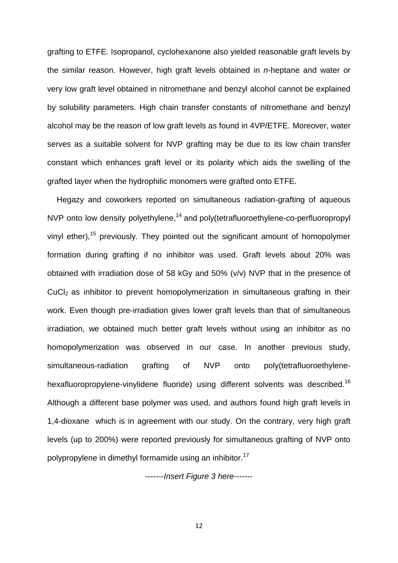grafting to ETFE. Isopropanol, cyclohexanone also yielded reasonable graft levels by the similar reason. However, high graft levels obtained in *n*-heptane and water or very low graft level obtained in nitromethane and benzyl alcohol cannot be explained by solubility parameters. High chain transfer constants of nitromethane and benzyl alcohol may be the reason of low graft levels as found in 4VP/ETFE. Moreover, water serves as a suitable solvent for NVP grafting may be due to its low chain transfer constant which enhances graft level or its polarity which aids the swelling of the grafted layer when the hydrophilic monomers were grafted onto ETFE.

Hegazy and coworkers reported on simultaneous radiation-grafting of aqueous NVP onto low density polyethylene,<sup>14</sup> and poly(tetrafluoroethylene-*co*-perfluoropropyl vinyl ether),<sup>15</sup> previously. They pointed out the significant amount of homopolymer formation during grafting if no inhibitor was used. Graft levels about 20% was obtained with irradiation dose of 58 kGy and 50% (v/v) NVP that in the presence of CuCl<sub>2</sub> as inhibitor to prevent homopolymerization in simultaneous grafting in their work. Even though pre-irradiation gives lower graft levels than that of simultaneous irradiation, we obtained much better graft levels without using an inhibitor as no homopolymerization was observed in our case. In another previous study, simultaneous-radiation grafting of NVP onto poly(tetrafluoroethylenehexafluoropropylene-vinylidene fluoride) using different solvents was described.<sup>16</sup> Although a different base polymer was used, and authors found high graft levels in 1,4-dioxane which is in agreement with our study. On the contrary, very high graft levels (up to 200%) were reported previously for simultaneous grafting of NVP onto polypropylene in dimethyl formamide using an inhibitor.<sup>17</sup>

-------*Insert Figure 3 here*-------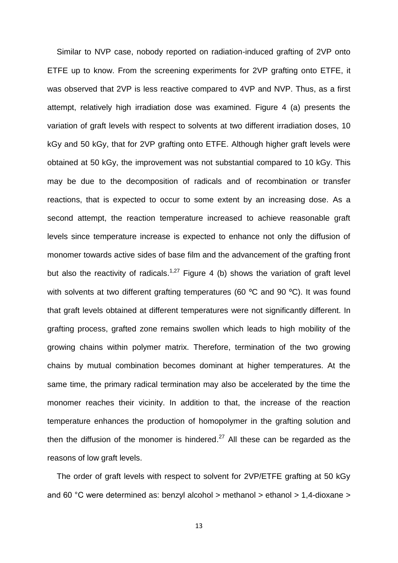Similar to NVP case, nobody reported on radiation-induced grafting of 2VP onto ETFE up to know. From the screening experiments for 2VP grafting onto ETFE, it was observed that 2VP is less reactive compared to 4VP and NVP. Thus, as a first attempt, relatively high irradiation dose was examined. Figure 4 (a) presents the variation of graft levels with respect to solvents at two different irradiation doses, 10 kGy and 50 kGy, that for 2VP grafting onto ETFE. Although higher graft levels were obtained at 50 kGy, the improvement was not substantial compared to 10 kGy. This may be due to the decomposition of radicals and of recombination or transfer reactions, that is expected to occur to some extent by an increasing dose. As a second attempt, the reaction temperature increased to achieve reasonable graft levels since temperature increase is expected to enhance not only the diffusion of monomer towards active sides of base film and the advancement of the grafting front but also the reactivity of radicals.<sup>1,27</sup> Figure 4 (b) shows the variation of graft level with solvents at two different grafting temperatures (60 °C and 90 °C). It was found that graft levels obtained at different temperatures were not significantly different. In grafting process, grafted zone remains swollen which leads to high mobility of the growing chains within polymer matrix. Therefore, termination of the two growing chains by mutual combination becomes dominant at higher temperatures. At the same time, the primary radical termination may also be accelerated by the time the monomer reaches their vicinity. In addition to that, the increase of the reaction temperature enhances the production of homopolymer in the grafting solution and then the diffusion of the monomer is hindered. $^{27}$  All these can be regarded as the reasons of low graft levels.

The order of graft levels with respect to solvent for 2VP/ETFE grafting at 50 kGy and 60 °C were determined as: benzyl alcohol > methanol > ethanol > 1,4-dioxane >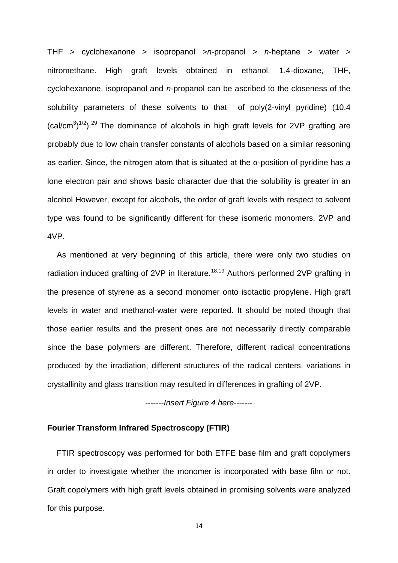THF > cyclohexanone > isopropanol >*n*-propanol > *n*-heptane > water > nitromethane. High graft levels obtained in ethanol, 1,4-dioxane, THF, cyclohexanone, isopropanol and *n*-propanol can be ascribed to the closeness of the solubility parameters of these solvents to that of poly(2-vinyl pyridine) (10.4  $(cal/cm<sup>3</sup>)<sup>1/2</sup>)<sup>29</sup>$  The dominance of alcohols in high graft levels for 2VP grafting are probably due to low chain transfer constants of alcohols based on a similar reasoning as earlier. Since, the nitrogen atom that is situated at the α-position of pyridine has a lone electron pair and shows basic character due that the solubility is greater in an alcohol However, except for alcohols, the order of graft levels with respect to solvent type was found to be significantly different for these isomeric monomers, 2VP and 4VP.

As mentioned at very beginning of this article, there were only two studies on radiation induced grafting of 2VP in literature.<sup>18,19</sup> Authors performed 2VP grafting in the presence of styrene as a second monomer onto isotactic propylene. High graft levels in water and methanol-water were reported. It should be noted though that those earlier results and the present ones are not necessarily directly comparable since the base polymers are different. Therefore, different radical concentrations produced by the irradiation, different structures of the radical centers, variations in crystallinity and glass transition may resulted in differences in grafting of 2VP.

-------*Insert Figure 4 here*-------

## **Fourier Transform Infrared Spectroscopy (FTIR)**

FTIR spectroscopy was performed for both ETFE base film and graft copolymers in order to investigate whether the monomer is incorporated with base film or not. Graft copolymers with high graft levels obtained in promising solvents were analyzed for this purpose.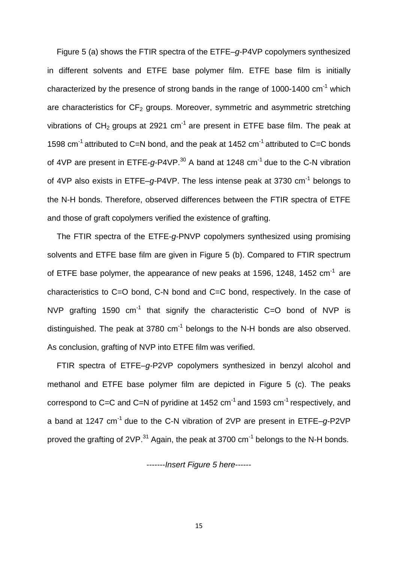Figure 5 (a) shows the FTIR spectra of the ETFE–*g*-P4VP copolymers synthesized in different solvents and ETFE base polymer film. ETFE base film is initially characterized by the presence of strong bands in the range of 1000-1400 cm<sup>-1</sup> which are characteristics for  $CF_2$  groups. Moreover, symmetric and asymmetric stretching vibrations of CH<sub>2</sub> groups at 2921 cm<sup>-1</sup> are present in ETFE base film. The peak at 1598 cm<sup>-1</sup> attributed to C=N bond, and the peak at 1452 cm<sup>-1</sup> attributed to C=C bonds of 4VP are present in ETFE-q-P4VP.<sup>30</sup> A band at 1248 cm<sup>-1</sup> due to the C-N vibration of 4VP also exists in ETFE-g-P4VP. The less intense peak at 3730 cm<sup>-1</sup> belongs to the N-H bonds. Therefore, observed differences between the FTIR spectra of ETFE and those of graft copolymers verified the existence of grafting.

The FTIR spectra of the ETFE-*g*-PNVP copolymers synthesized using promising solvents and ETFE base film are given in Figure 5 (b). Compared to FTIR spectrum of ETFE base polymer, the appearance of new peaks at 1596, 1248, 1452 cm<sup>-1</sup> are characteristics to C=O bond, C-N bond and C=C bond, respectively. In the case of NVP grafting 1590  $cm^{-1}$  that signify the characteristic C=O bond of NVP is distinguished. The peak at 3780  $cm^{-1}$  belongs to the N-H bonds are also observed. As conclusion, grafting of NVP into ETFE film was verified.

FTIR spectra of ETFE–*g*-P2VP copolymers synthesized in benzyl alcohol and methanol and ETFE base polymer film are depicted in Figure 5 (c). The peaks correspond to C=C and C=N of pyridine at 1452 cm<sup>-1</sup> and 1593 cm<sup>-1</sup> respectively, and a band at 1247 cm-1 due to the C-N vibration of 2VP are present in ETFE–*g*-P2VP proved the grafting of 2VP. $^{31}$  Again, the peak at 3700 cm $^{-1}$  belongs to the N-H bonds.

-------*Insert Figure 5 here*------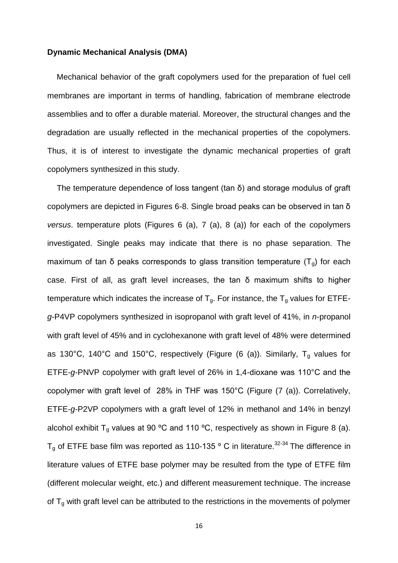#### **Dynamic Mechanical Analysis (DMA)**

Mechanical behavior of the graft copolymers used for the preparation of fuel cell membranes are important in terms of handling, fabrication of membrane electrode assemblies and to offer a durable material. Moreover, the structural changes and the degradation are usually reflected in the mechanical properties of the copolymers. Thus, it is of interest to investigate the dynamic mechanical properties of graft copolymers synthesized in this study.

The temperature dependence of loss tangent (tan δ) and storage modulus of graft copolymers are depicted in Figures 6-8. Single broad peaks can be observed in tan δ *versus*. temperature plots (Figures 6 (a), 7 (a), 8 (a)) for each of the copolymers investigated. Single peaks may indicate that there is no phase separation. The maximum of tan  $\delta$  peaks corresponds to glass transition temperature  $(T_0)$  for each case. First of all, as graft level increases, the tan δ maximum shifts to higher temperature which indicates the increase of  $T_q$ . For instance, the  $T_q$  values for ETFE*g*-P4VP copolymers synthesized in isopropanol with graft level of 41%, in *n*-propanol with graft level of 45% and in cyclohexanone with graft level of 48% were determined as 130°C, 140°C and 150°C, respectively (Figure (6 (a)). Similarly,  $T_g$  values for ETFE-*g*-PNVP copolymer with graft level of 26% in 1,4-dioxane was 110°C and the copolymer with graft level of 28% in THF was 150°C (Figure (7 (a)). Correlatively, ETFE-*g*-P2VP copolymers with a graft level of 12% in methanol and 14% in benzyl alcohol exhibit  $T_q$  values at 90 °C and 110 °C, respectively as shown in Figure 8 (a).  $T_g$  of ETFE base film was reported as 110-135 ° C in literature.<sup>32-34</sup> The difference in literature values of ETFE base polymer may be resulted from the type of ETFE film (different molecular weight, etc.) and different measurement technique. The increase of  $T<sub>g</sub>$  with graft level can be attributed to the restrictions in the movements of polymer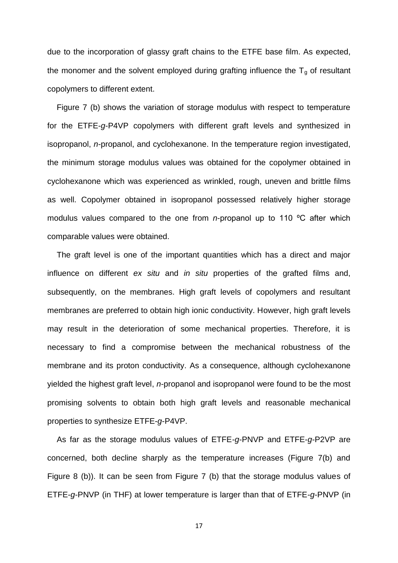due to the incorporation of glassy graft chains to the ETFE base film. As expected, the monomer and the solvent employed during grafting influence the  $T<sub>a</sub>$  of resultant copolymers to different extent.

Figure 7 (b) shows the variation of storage modulus with respect to temperature for the ETFE-*g*-P4VP copolymers with different graft levels and synthesized in isopropanol, *n*-propanol, and cyclohexanone. In the temperature region investigated, the minimum storage modulus values was obtained for the copolymer obtained in cyclohexanone which was experienced as wrinkled, rough, uneven and brittle films as well. Copolymer obtained in isopropanol possessed relatively higher storage modulus values compared to the one from *n*-propanol up to 110 ºC after which comparable values were obtained.

The graft level is one of the important quantities which has a direct and major influence on different *ex situ* and *in situ* properties of the grafted films and, subsequently, on the membranes. High graft levels of copolymers and resultant membranes are preferred to obtain high ionic conductivity. However, high graft levels may result in the deterioration of some mechanical properties. Therefore, it is necessary to find a compromise between the mechanical robustness of the membrane and its proton conductivity. As a consequence, although cyclohexanone yielded the highest graft level, *n*-propanol and isopropanol were found to be the most promising solvents to obtain both high graft levels and reasonable mechanical properties to synthesize ETFE-*g*-P4VP.

As far as the storage modulus values of ETFE-*g*-PNVP and ETFE-*g*-P2VP are concerned, both decline sharply as the temperature increases (Figure 7(b) and Figure 8 (b)). It can be seen from Figure 7 (b) that the storage modulus values of ETFE-*g*-PNVP (in THF) at lower temperature is larger than that of ETFE-*g*-PNVP (in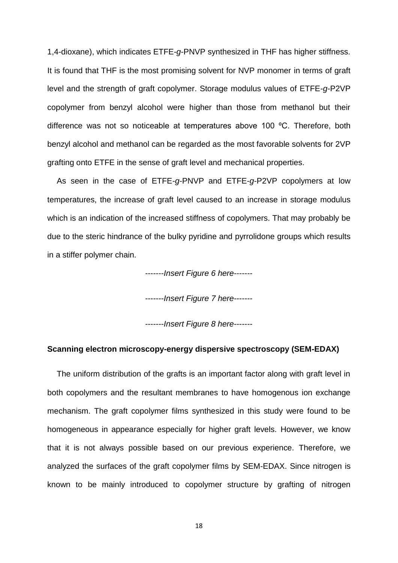1,4-dioxane), which indicates ETFE-*g*-PNVP synthesized in THF has higher stiffness. It is found that THF is the most promising solvent for NVP monomer in terms of graft level and the strength of graft copolymer. Storage modulus values of ETFE-*g*-P2VP copolymer from benzyl alcohol were higher than those from methanol but their difference was not so noticeable at temperatures above 100 ºC. Therefore, both benzyl alcohol and methanol can be regarded as the most favorable solvents for 2VP grafting onto ETFE in the sense of graft level and mechanical properties.

As seen in the case of ETFE-*g*-PNVP and ETFE-*g*-P2VP copolymers at low temperatures, the increase of graft level caused to an increase in storage modulus which is an indication of the increased stiffness of copolymers. That may probably be due to the steric hindrance of the bulky pyridine and pyrrolidone groups which results in a stiffer polymer chain.

-------*Insert Figure 6 here*-------

-------*Insert Figure 7 here*-------

-------*Insert Figure 8 here*-------

## **Scanning electron microscopy-energy dispersive spectroscopy (SEM-EDAX)**

The uniform distribution of the grafts is an important factor along with graft level in both copolymers and the resultant membranes to have homogenous ion exchange mechanism. The graft copolymer films synthesized in this study were found to be homogeneous in appearance especially for higher graft levels. However, we know that it is not always possible based on our previous experience. Therefore, we analyzed the surfaces of the graft copolymer films by SEM-EDAX. Since nitrogen is known to be mainly introduced to copolymer structure by grafting of nitrogen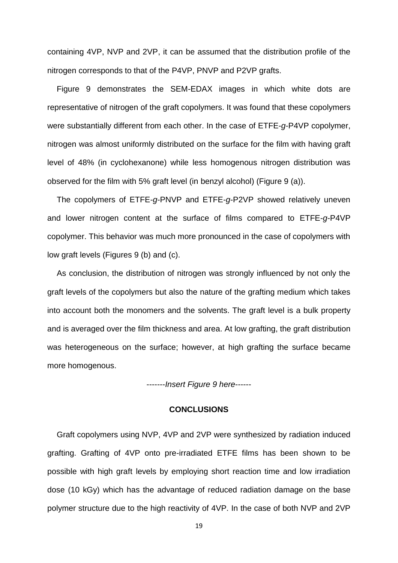containing 4VP, NVP and 2VP, it can be assumed that the distribution profile of the nitrogen corresponds to that of the P4VP, PNVP and P2VP grafts.

Figure 9 demonstrates the SEM-EDAX images in which white dots are representative of nitrogen of the graft copolymers. It was found that these copolymers were substantially different from each other. In the case of ETFE-*g*-P4VP copolymer, nitrogen was almost uniformly distributed on the surface for the film with having graft level of 48% (in cyclohexanone) while less homogenous nitrogen distribution was observed for the film with 5% graft level (in benzyl alcohol) (Figure 9 (a)).

The copolymers of ETFE-*g*-PNVP and ETFE-*g*-P2VP showed relatively uneven and lower nitrogen content at the surface of films compared to ETFE-*g*-P4VP copolymer. This behavior was much more pronounced in the case of copolymers with low graft levels (Figures 9 (b) and (c).

As conclusion, the distribution of nitrogen was strongly influenced by not only the graft levels of the copolymers but also the nature of the grafting medium which takes into account both the monomers and the solvents. The graft level is a bulk property and is averaged over the film thickness and area. At low grafting, the graft distribution was heterogeneous on the surface; however, at high grafting the surface became more homogenous.

-------*Insert Figure 9 here*------

#### **CONCLUSIONS**

Graft copolymers using NVP, 4VP and 2VP were synthesized by radiation induced grafting. Grafting of 4VP onto pre-irradiated ETFE films has been shown to be possible with high graft levels by employing short reaction time and low irradiation dose (10 kGy) which has the advantage of reduced radiation damage on the base polymer structure due to the high reactivity of 4VP. In the case of both NVP and 2VP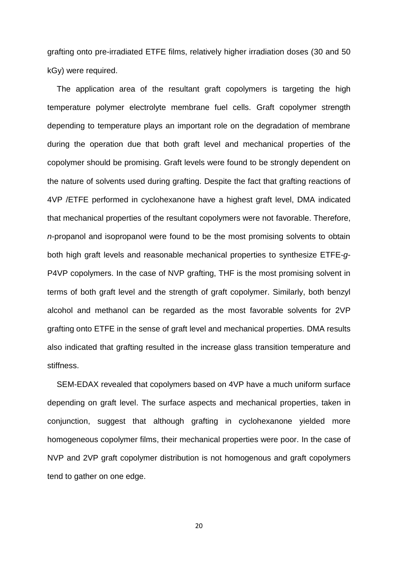grafting onto pre-irradiated ETFE films, relatively higher irradiation doses (30 and 50 kGy) were required.

The application area of the resultant graft copolymers is targeting the high temperature polymer electrolyte membrane fuel cells. Graft copolymer strength depending to temperature plays an important role on the degradation of membrane during the operation due that both graft level and mechanical properties of the copolymer should be promising. Graft levels were found to be strongly dependent on the nature of solvents used during grafting. Despite the fact that grafting reactions of 4VP /ETFE performed in cyclohexanone have a highest graft level, DMA indicated that mechanical properties of the resultant copolymers were not favorable. Therefore, *n*-propanol and isopropanol were found to be the most promising solvents to obtain both high graft levels and reasonable mechanical properties to synthesize ETFE-*g*-P4VP copolymers. In the case of NVP grafting, THF is the most promising solvent in terms of both graft level and the strength of graft copolymer. Similarly, both benzyl alcohol and methanol can be regarded as the most favorable solvents for 2VP grafting onto ETFE in the sense of graft level and mechanical properties. DMA results also indicated that grafting resulted in the increase glass transition temperature and stiffness.

SEM-EDAX revealed that copolymers based on 4VP have a much uniform surface depending on graft level. The surface aspects and mechanical properties, taken in conjunction, suggest that although grafting in cyclohexanone yielded more homogeneous copolymer films, their mechanical properties were poor. In the case of NVP and 2VP graft copolymer distribution is not homogenous and graft copolymers tend to gather on one edge.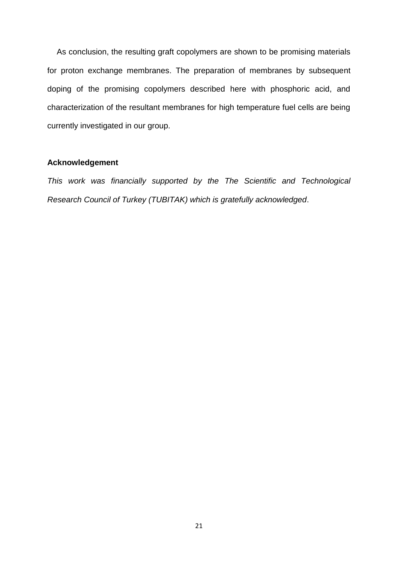As conclusion, the resulting graft copolymers are shown to be promising materials for proton exchange membranes. The preparation of membranes by subsequent doping of the promising copolymers described here with phosphoric acid, and characterization of the resultant membranes for high temperature fuel cells are being currently investigated in our group.

## **Acknowledgement**

*This work was financially supported by the The Scientific and Technological Research Council of Turkey (TUBITAK) which is gratefully acknowledged*.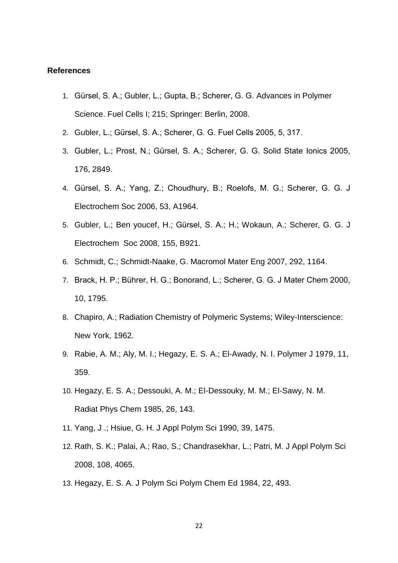#### **References**

- 1. Gürsel, S. A.; Gubler, L.; Gupta, B.; Scherer, G. G. Advances in Polymer Science. Fuel Cells I; 215; Springer: Berlin, 2008.
- 2. Gubler, L.; Gürsel, S. A.; Scherer, G. G. Fuel Cells 2005, 5, 317.
- 3. Gubler, L.; Prost, N.; Gürsel, S. A.; Scherer, G. G. Solid State Ionics 2005, 176, 2849.
- 4. Gürsel, S. A.; Yang, Z.; Choudhury, B.; Roelofs, M. G.; Scherer, G. G. J Electrochem Soc 2006, 53, A1964.
- 5. Gubler, L.; Ben youcef, H.; Gürsel, S. A.; H.; Wokaun, A.; Scherer, G. G. J Electrochem Soc 2008, 155, B921.
- 6. Schmidt, C.; Schmidt-Naake, G. Macromol Mater Eng 2007, 292, 1164.
- 7. Brack, H. P.; Bührer, H. G.; Bonorand, L.; Scherer, G. G. J Mater Chem 2000, 10, 1795.
- 8. Chapiro, A.; Radiation Chemistry of Polymeric Systems; Wiley-Interscience: New York, 1962.
- 9. Rabie, A. M.; Aly, M. I.; Hegazy, E. S. A.; El-Awady, N. I. Polymer J 1979, 11, 359.
- 10. Hegazy, E. S. A.; Dessouki, A. M.; El-Dessouky, M. M.; El-Sawy, N. M. Radiat Phys Chem 1985, 26, 143.
- 11. Yang, J .; Hsiue, G. H. J Appl Polym Sci 1990, 39, 1475.
- 12. Rath, S. K.; Palai, A.; Rao, S.; Chandrasekhar, L.; Patri, M. J Appl Polym Sci 2008, 108, 4065.
- 13. Hegazy, E. S. A. J Polym Sci Polym Chem Ed 1984, 22, 493.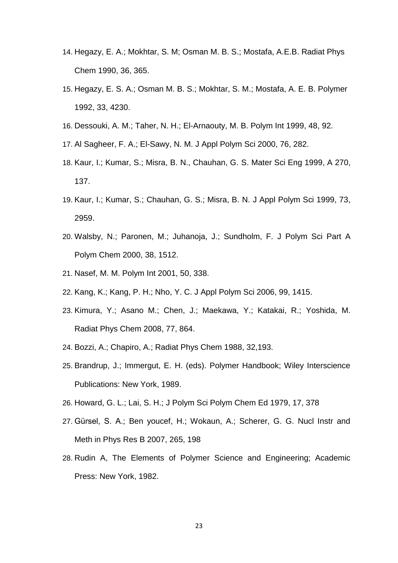- 14. Hegazy, E. A.; Mokhtar, S. M; Osman M. B. S.; Mostafa, A.E.B. Radiat Phys Chem 1990, 36, 365.
- 15. Hegazy, E. S. A.; Osman M. B. S.; Mokhtar, S. M.; Mostafa, A. E. B. Polymer 1992, 33, 4230.
- 16. Dessouki, A. M.; Taher, N. H.; El-Arnaouty, M. B. Polym Int 1999, 48, 92.
- 17. Al Sagheer, F. A.; El-Sawy, N. M. J Appl Polym Sci 2000, 76, 282.
- 18. Kaur, I.; Kumar, S.; Misra, B. N., Chauhan, G. S. Mater Sci Eng 1999, A 270, 137.
- 19. Kaur, I.; Kumar, S.; Chauhan, G. S.; Misra, B. N. J Appl Polym Sci 1999, 73, 2959.
- 20. Walsby, N.; Paronen, M.; Juhanoja, J.; Sundholm, F. J Polym Sci Part A Polym Chem 2000, 38, 1512.
- 21. Nasef, M. M. Polym Int 2001, 50, 338.
- 22. Kang, K.; Kang, P. H.; Nho, Y. C. J Appl Polym Sci 2006, 99, 1415.
- 23. Kimura, Y.; Asano M.; Chen, J.; Maekawa, Y.; Katakai, R.; Yoshida, M. Radiat Phys Chem 2008, 77, 864.
- 24. Bozzi, A.; Chapiro, A.; Radiat Phys Chem 1988, 32,193.
- 25. Brandrup, J.; Immergut, E. H. (eds). Polymer Handbook; Wiley Interscience Publications: New York, 1989.
- 26. Howard, G. L.; Lai, S. H.; J Polym Sci Polym Chem Ed 1979, 17, 378
- 27. Gürsel, S. A.; Ben youcef, H.; Wokaun, A.; Scherer, G. G. Nucl Instr and Meth in Phys Res B 2007, 265, 198
- 28. Rudin A, The Elements of Polymer Science and Engineering; Academic Press: New York, 1982.